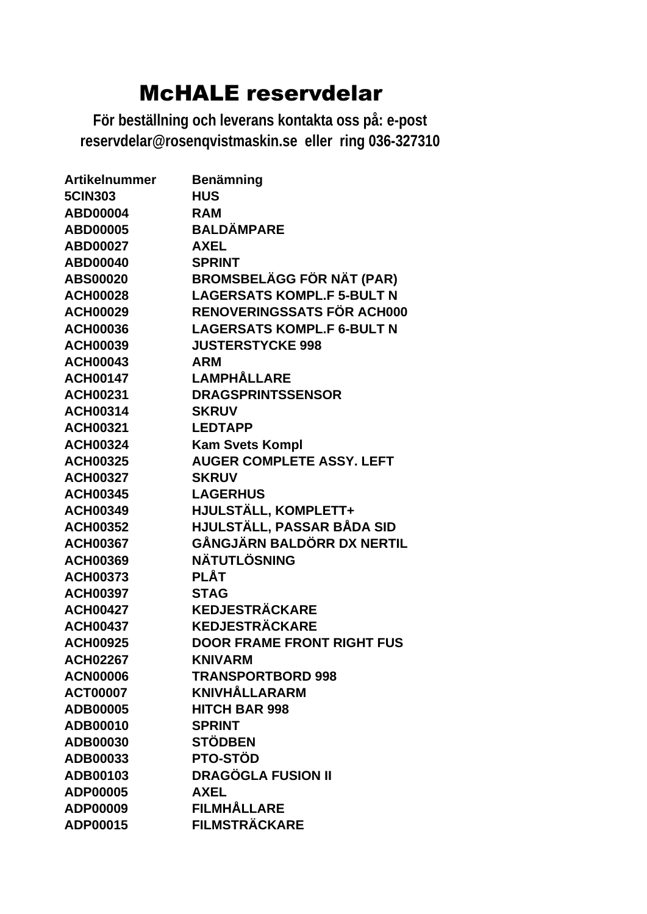| <b>Artikelnummer</b> | <b>Benämning</b>                  |
|----------------------|-----------------------------------|
| <b>5CIN303</b>       | <b>HUS</b>                        |
| <b>ABD00004</b>      | <b>RAM</b>                        |
| <b>ABD00005</b>      | <b>BALDÄMPARE</b>                 |
| <b>ABD00027</b>      | <b>AXEL</b>                       |
| <b>ABD00040</b>      | <b>SPRINT</b>                     |
| <b>ABS00020</b>      | <b>BROMSBELÄGG FÖR NÄT (PAR)</b>  |
| <b>ACH00028</b>      | <b>LAGERSATS KOMPL.F 5-BULT N</b> |
| <b>ACH00029</b>      | <b>RENOVERINGSSATS FÖR ACH000</b> |
| <b>ACH00036</b>      | <b>LAGERSATS KOMPL.F 6-BULT N</b> |
| <b>ACH00039</b>      | <b>JUSTERSTYCKE 998</b>           |
| <b>ACH00043</b>      | <b>ARM</b>                        |
| <b>ACH00147</b>      | LAMPHÅLLARE                       |
| <b>ACH00231</b>      | <b>DRAGSPRINTSSENSOR</b>          |
| <b>ACH00314</b>      | <b>SKRUV</b>                      |
| <b>ACH00321</b>      | <b>LEDTAPP</b>                    |
| <b>ACH00324</b>      | <b>Kam Svets Kompl</b>            |
| <b>ACH00325</b>      | <b>AUGER COMPLETE ASSY. LEFT</b>  |
| <b>ACH00327</b>      | <b>SKRUV</b>                      |
| <b>ACH00345</b>      | <b>LAGERHUS</b>                   |
| <b>ACH00349</b>      | HJULSTÄLL, KOMPLETT+              |
| <b>ACH00352</b>      | HJULSTÄLL, PASSAR BÅDA SID        |
| <b>ACH00367</b>      | GÅNGJÄRN BALDÖRR DX NERTIL        |
| <b>ACH00369</b>      | <b>NÄTUTLÖSNING</b>               |
| <b>ACH00373</b>      | <b>PLÅT</b>                       |
| <b>ACH00397</b>      | <b>STAG</b>                       |
| <b>ACH00427</b>      | <b>KEDJESTRÄCKARE</b>             |
| <b>ACH00437</b>      | <b>KEDJESTRÄCKARE</b>             |
| <b>ACH00925</b>      | <b>DOOR FRAME FRONT RIGHT FUS</b> |
| <b>ACH02267</b>      | <b>KNIVARM</b>                    |
| <b>ACN00006</b>      | <b>TRANSPORTBORD 998</b>          |
| <b>ACT00007</b>      | <b>KNIVHÅLLARARM</b>              |
| ADB00005             | <b>HITCH BAR 998</b>              |
| ADB00010             | <b>SPRINT</b>                     |
| ADB00030             | <b>STÖDBEN</b>                    |
| ADB00033             | <b>PTO-STÖD</b>                   |
| ADB00103             | <b>DRAGÖGLA FUSION II</b>         |
| ADP00005             | <b>AXEL</b>                       |
| ADP00009             | <b>FILMHÅLLARE</b>                |
| ADP00015             | <b>FILMSTRÄCKARE</b>              |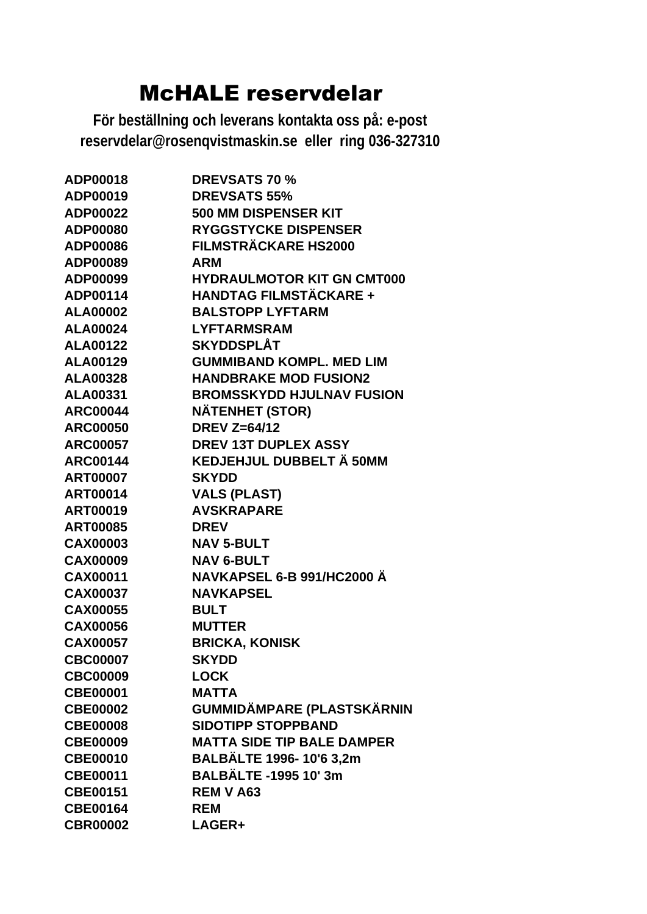| ADP00018        | <b>DREVSATS 70 %</b>              |
|-----------------|-----------------------------------|
| ADP00019        | <b>DREVSATS 55%</b>               |
| ADP00022        | <b>500 MM DISPENSER KIT</b>       |
| <b>ADP00080</b> | <b>RYGGSTYCKE DISPENSER</b>       |
| ADP00086        | <b>FILMSTRÄCKARE HS2000</b>       |
| ADP00089        | <b>ARM</b>                        |
| ADP00099        | <b>HYDRAULMOTOR KIT GN CMT000</b> |
| ADP00114        | <b>HANDTAG FILMSTÄCKARE +</b>     |
| <b>ALA00002</b> | <b>BALSTOPP LYFTARM</b>           |
| <b>ALA00024</b> | <b>LYFTARMSRAM</b>                |
| <b>ALA00122</b> | SKYDDSPLÅT                        |
| <b>ALA00129</b> | <b>GUMMIBAND KOMPL, MED LIM</b>   |
| <b>ALA00328</b> | <b>HANDBRAKE MOD FUSION2</b>      |
| <b>ALA00331</b> | <b>BROMSSKYDD HJULNAV FUSION</b>  |
| <b>ARC00044</b> | <b>NÄTENHET (STOR)</b>            |
| <b>ARC00050</b> | <b>DREV Z=64/12</b>               |
| <b>ARC00057</b> | <b>DREV 13T DUPLEX ASSY</b>       |
| <b>ARC00144</b> | KEDJEHJUL DUBBELT Ä 50MM          |
| <b>ART00007</b> | <b>SKYDD</b>                      |
| <b>ART00014</b> | <b>VALS (PLAST)</b>               |
| <b>ART00019</b> | <b>AVSKRAPARE</b>                 |
| <b>ART00085</b> | <b>DREV</b>                       |
| <b>CAX00003</b> | <b>NAV 5-BULT</b>                 |
| <b>CAX00009</b> | <b>NAV 6-BULT</b>                 |
| <b>CAX00011</b> | NAVKAPSEL 6-B 991/HC2000 Ä        |
| <b>CAX00037</b> | <b>NAVKAPSEL</b>                  |
| <b>CAX00055</b> | <b>BULT</b>                       |
| <b>CAX00056</b> | <b>MUTTER</b>                     |
| <b>CAX00057</b> | <b>BRICKA, KONISK</b>             |
| <b>CBC00007</b> | <b>SKYDD</b>                      |
| <b>CBC00009</b> | <b>LOCK</b>                       |
| <b>CBE00001</b> | <b>MATTA</b>                      |
| <b>CBE00002</b> | GUMMIDÄMPARE (PLASTSKÄRNIN        |
| <b>CBE00008</b> | <b>SIDOTIPP STOPPBAND</b>         |
| <b>CBE00009</b> | <b>MATTA SIDE TIP BALE DAMPER</b> |
| <b>CBE00010</b> | <b>BALBÄLTE 1996-10'6 3,2m</b>    |
| <b>CBE00011</b> | <b>BALBÄLTE -1995 10' 3m</b>      |
| <b>CBE00151</b> | <b>REM V A63</b>                  |
| <b>CBE00164</b> | <b>REM</b>                        |
| <b>CBR00002</b> | LAGER+                            |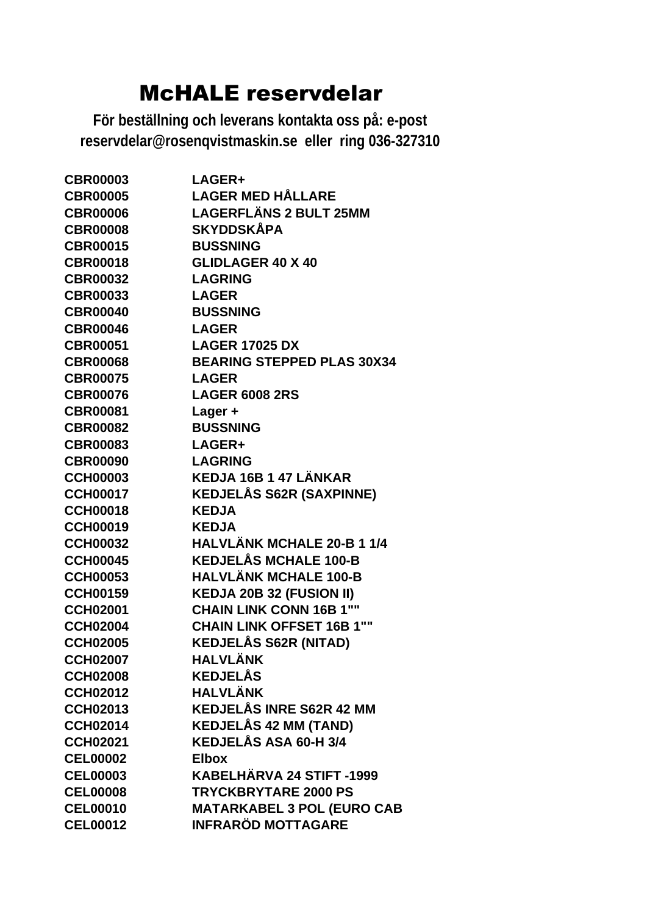| <b>CBR00003</b> | LAGER+                            |
|-----------------|-----------------------------------|
| <b>CBR00005</b> | <b>LAGER MED HÅLLARE</b>          |
| <b>CBR00006</b> | <b>LAGERFLÄNS 2 BULT 25MM</b>     |
| <b>CBR00008</b> | <b>SKYDDSKÅPA</b>                 |
| <b>CBR00015</b> | <b>BUSSNING</b>                   |
| <b>CBR00018</b> | <b>GLIDLAGER 40 X 40</b>          |
| <b>CBR00032</b> | <b>LAGRING</b>                    |
| <b>CBR00033</b> | <b>LAGER</b>                      |
| <b>CBR00040</b> | <b>BUSSNING</b>                   |
| <b>CBR00046</b> | <b>LAGER</b>                      |
| <b>CBR00051</b> | <b>LAGER 17025 DX</b>             |
| <b>CBR00068</b> | <b>BEARING STEPPED PLAS 30X34</b> |
| <b>CBR00075</b> | <b>LAGER</b>                      |
| <b>CBR00076</b> | <b>LAGER 6008 2RS</b>             |
| <b>CBR00081</b> | Lager +                           |
| <b>CBR00082</b> | <b>BUSSNING</b>                   |
| <b>CBR00083</b> | LAGER+                            |
| <b>CBR00090</b> | <b>LAGRING</b>                    |
| <b>CCH00003</b> | KEDJA 16B 1 47 LÄNKAR             |
| <b>CCH00017</b> | <b>KEDJELÅS S62R (SAXPINNE)</b>   |
| <b>CCH00018</b> | <b>KEDJA</b>                      |
| <b>CCH00019</b> | <b>KEDJA</b>                      |
| <b>CCH00032</b> | <b>HALVLÄNK MCHALE 20-B 1 1/4</b> |
| <b>CCH00045</b> | <b>KEDJELÅS MCHALE 100-B</b>      |
| <b>CCH00053</b> | <b>HALVLÄNK MCHALE 100-B</b>      |
| <b>CCH00159</b> | <b>KEDJA 20B 32 (FUSION II)</b>   |
| <b>CCH02001</b> | <b>CHAIN LINK CONN 16B 1""</b>    |
| <b>CCH02004</b> | <b>CHAIN LINK OFFSET 16B 1""</b>  |
| <b>CCH02005</b> | <b>KEDJELÅS S62R (NITAD)</b>      |
| <b>CCH02007</b> | <b>HALVLÄNK</b>                   |
| <b>CCH02008</b> | <b>KEDJELÅS</b>                   |
| <b>CCH02012</b> | <b>HALVLÄNK</b>                   |
| <b>CCH02013</b> | <b>KEDJELÅS INRE S62R 42 MM</b>   |
| <b>CCH02014</b> | <b>KEDJELÅS 42 MM (TAND)</b>      |
| <b>CCH02021</b> | KEDJELÅS ASA 60-H 3/4             |
| <b>CEL00002</b> | <b>Elbox</b>                      |
| <b>CEL00003</b> | KABELHÄRVA 24 STIFT -1999         |
| <b>CEL00008</b> | <b>TRYCKBRYTARE 2000 PS</b>       |
| <b>CEL00010</b> | <b>MATARKABEL 3 POL (EURO CAB</b> |
| <b>CEL00012</b> | <b>INFRARÖD MOTTAGARE</b>         |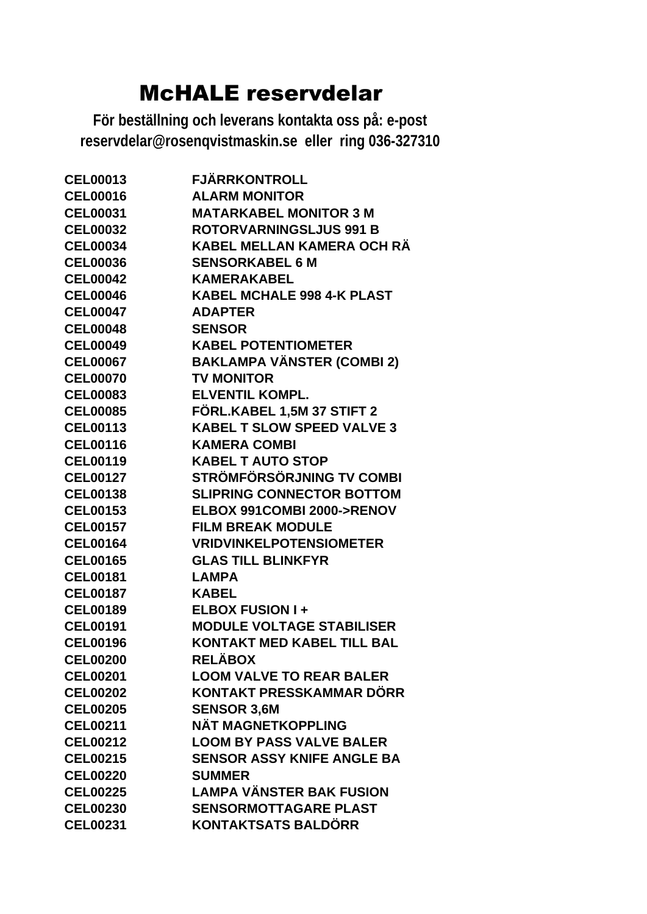| <b>CEL00013</b> | <b>FJÄRRKONTROLL</b>              |
|-----------------|-----------------------------------|
| <b>CEL00016</b> | <b>ALARM MONITOR</b>              |
| <b>CEL00031</b> | <b>MATARKABEL MONITOR 3 M</b>     |
| <b>CEL00032</b> | <b>ROTORVARNINGSLJUS 991 B</b>    |
| <b>CEL00034</b> | KABEL MELLAN KAMERA OCH RÄ        |
| <b>CEL00036</b> | <b>SENSORKABEL 6 M</b>            |
| <b>CEL00042</b> | <b>KAMERAKABEL</b>                |
| <b>CEL00046</b> | <b>KABEL MCHALE 998 4-K PLAST</b> |
| <b>CEL00047</b> | <b>ADAPTER</b>                    |
| <b>CEL00048</b> | <b>SENSOR</b>                     |
| <b>CEL00049</b> | <b>KABEL POTENTIOMETER</b>        |
| <b>CEL00067</b> | <b>BAKLAMPA VÄNSTER (COMBI 2)</b> |
| <b>CEL00070</b> | <b>TV MONITOR</b>                 |
| <b>CEL00083</b> | <b>ELVENTIL KOMPL.</b>            |
| <b>CEL00085</b> | FÖRL.KABEL 1,5M 37 STIFT 2        |
| <b>CEL00113</b> | <b>KABEL T SLOW SPEED VALVE 3</b> |
| <b>CEL00116</b> | <b>KAMERA COMBI</b>               |
| <b>CEL00119</b> | <b>KABEL T AUTO STOP</b>          |
| <b>CEL00127</b> | STRÖMFÖRSÖRJNING TV COMBI         |
| <b>CEL00138</b> | <b>SLIPRING CONNECTOR BOTTOM</b>  |
| <b>CEL00153</b> | ELBOX 991COMBI 2000->RENOV        |
| <b>CEL00157</b> | <b>FILM BREAK MODULE</b>          |
| <b>CEL00164</b> | <b>VRIDVINKELPOTENSIOMETER</b>    |
| <b>CEL00165</b> | <b>GLAS TILL BLINKFYR</b>         |
| <b>CEL00181</b> | <b>LAMPA</b>                      |
| <b>CEL00187</b> | <b>KABEL</b>                      |
| <b>CEL00189</b> | <b>ELBOX FUSION I+</b>            |
| <b>CEL00191</b> | <b>MODULE VOLTAGE STABILISER</b>  |
| <b>CEL00196</b> | <b>KONTAKT MED KABEL TILL BAL</b> |
| <b>CEL00200</b> | <b>RELÄBOX</b>                    |
| <b>CEL00201</b> | <b>LOOM VALVE TO REAR BALER</b>   |
| <b>CEL00202</b> | KONTAKT PRESSKAMMAR DÖRR          |
| <b>CEL00205</b> | <b>SENSOR 3,6M</b>                |
| <b>CEL00211</b> | NÄT MAGNETKOPPLING                |
| <b>CEL00212</b> | <b>LOOM BY PASS VALVE BALER</b>   |
| <b>CEL00215</b> | <b>SENSOR ASSY KNIFE ANGLE BA</b> |
| <b>CEL00220</b> | <b>SUMMER</b>                     |
| <b>CEL00225</b> | <b>LAMPA VÄNSTER BAK FUSION</b>   |
| <b>CEL00230</b> | <b>SENSORMOTTAGARE PLAST</b>      |
| <b>CEL00231</b> | <b>KONTAKTSATS BALDÖRR</b>        |
|                 |                                   |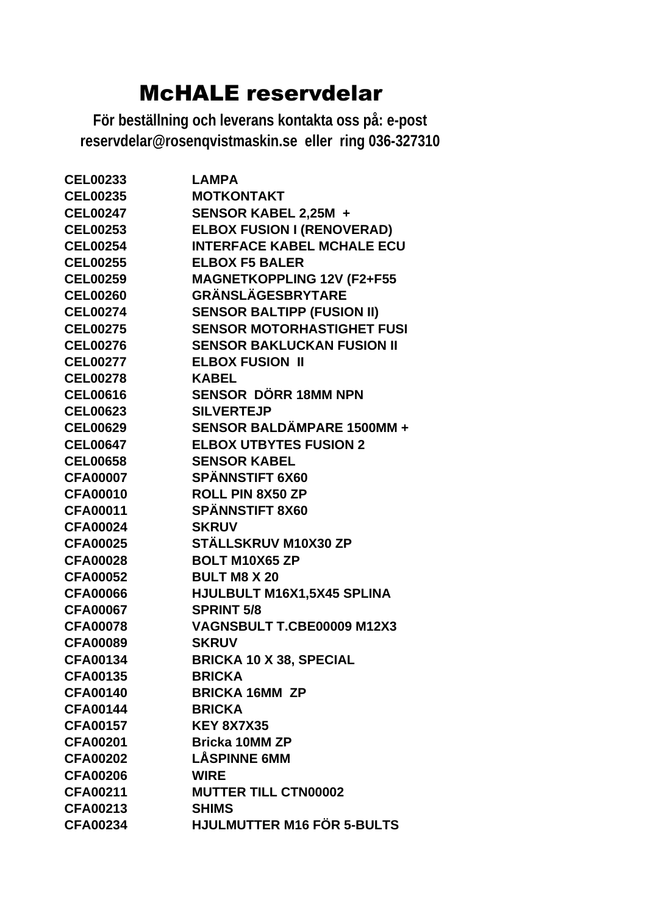| <b>CEL00233</b>           | <b>LAMPA</b>                                                        |
|---------------------------|---------------------------------------------------------------------|
| <b>CEL00235</b>           | <b>MOTKONTAKT</b>                                                   |
| <b>CEL00247</b>           | SENSOR KABEL 2,25M +                                                |
| <b>CEL00253</b>           | <b>ELBOX FUSION I (RENOVERAD)</b>                                   |
| <b>CEL00254</b>           | <b>INTERFACE KABEL MCHALE ECU</b>                                   |
| CEL00255 ELBOX F5 BALER   |                                                                     |
| <b>CEL00259</b>           | ___vʌ гɔ ʁALER<br>MAGNETKOPPLING 12V (F2+F55<br>GRÄNSI Äc⊑epp\***¬¬ |
| <b>CEL00260</b>           |                                                                     |
| <b>CEL00274</b>           | <b>SENSOR BALTIPP (FUSION II)</b>                                   |
| <b>CEL00275</b>           | <b>SENSOR MOTORHASTIGHET FUSI</b>                                   |
| <b>CEL00276</b>           | <b>SENSOR BAKLUCKAN FUSION II</b>                                   |
| <b>CEL00277</b>           | <b>ELBOX FUSION II</b>                                              |
| <b>CEL00278</b>           | <b>KABEL</b>                                                        |
| <b>CEL00616</b>           | SENSOR DÖRR 18MM NPN                                                |
| <b>CEL00623</b>           | <b>SILVERTEJP</b>                                                   |
|                           | CEL00629 SENSOR BALDÄMPARE 1500MM +                                 |
|                           | <b>CEL00647 ELBOX UTBYTES FUSION 2</b>                              |
| <b>CEL00658</b>           | <b>SENSOR KABEL</b>                                                 |
| CFA00007 SPÄNNSTIFT 6X60  |                                                                     |
| CFA00010 ROLL PIN 8X50 ZP |                                                                     |
| <b>CFA00011</b>           | <b>SPÄNNSTIFT 8X60</b>                                              |
| <b>CFA00024</b>           | <b>SKRUV</b>                                                        |
| <b>CFA00025</b>           | STÄLLSKRUV M10X30 ZP                                                |
| <b>CFA00028</b>           | <b>BOLT M10X65 ZP</b>                                               |
| <b>CFA00052</b>           | <b>BULT M8 X 20</b>                                                 |
| <b>CFA00066</b>           | HJULBULT M16X1,5X45 SPLINA                                          |
| <b>CFA00067</b>           | <b>SPRINT 5/8</b>                                                   |
| <b>CFA00078</b>           | VAGNSBULT T.CBE00009 M12X3                                          |
| <b>CFA00089</b>           | <b>SKRUV</b>                                                        |
| <b>CFA00134</b>           | <b>BRICKA 10 X 38, SPECIAL</b>                                      |
| <b>CFA00135</b>           | <b>BRICKA</b>                                                       |
| <b>CFA00140</b>           | <b>BRICKA 16MM ZP</b>                                               |
| <b>CFA00144</b>           | <b>BRICKA</b>                                                       |
| <b>CFA00157</b>           | <b>KEY 8X7X35</b>                                                   |
| <b>CFA00201</b>           | <b>Bricka 10MM ZP</b>                                               |
| <b>CFA00202</b>           | <b>LÅSPINNE 6MM</b>                                                 |
| <b>CFA00206</b>           | <b>WIRE</b>                                                         |
| <b>CFA00211</b>           | <b>MUTTER TILL CTN00002</b>                                         |
| <b>CFA00213</b>           | <b>SHIMS</b>                                                        |
| <b>CFA00234</b>           | HJULMUTTER M16 FÖR 5-BULTS                                          |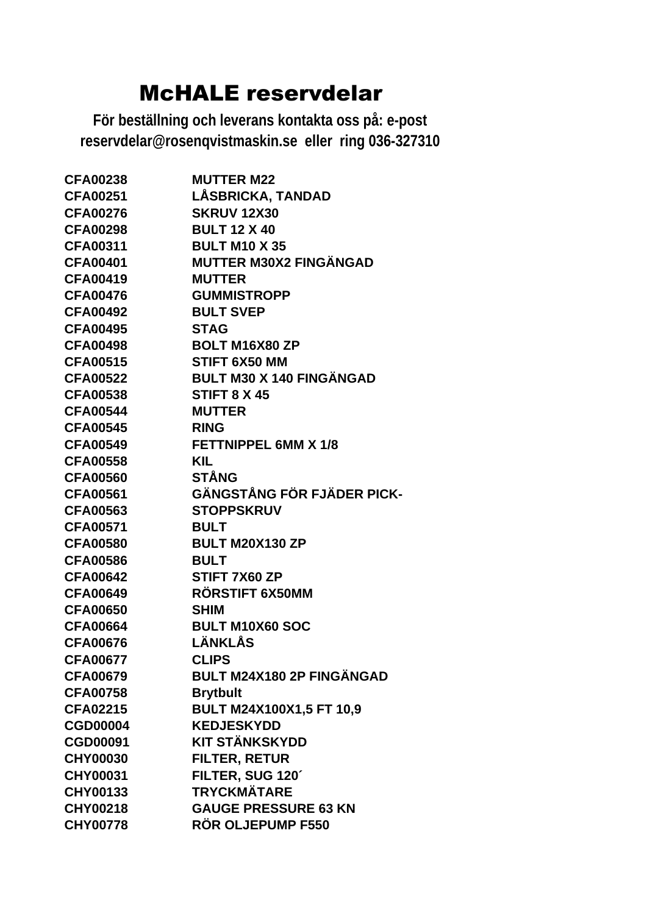| <b>CFA00238</b> | <b>MUTTER M22</b>                |
|-----------------|----------------------------------|
| <b>CFA00251</b> | LÅSBRICKA, TANDAD                |
| <b>CFA00276</b> | <b>SKRUV 12X30</b>               |
| <b>CFA00298</b> | <b>BULT 12 X 40</b>              |
| <b>CFA00311</b> | <b>BULT M10 X 35</b>             |
| <b>CFA00401</b> | <b>MUTTER M30X2 FINGÄNGAD</b>    |
| <b>CFA00419</b> | <b>MUTTER</b>                    |
| <b>CFA00476</b> | <b>GUMMISTROPP</b>               |
| <b>CFA00492</b> | <b>BULT SVEP</b>                 |
| <b>CFA00495</b> | <b>STAG</b>                      |
| <b>CFA00498</b> | <b>BOLT M16X80 ZP</b>            |
| <b>CFA00515</b> | STIFT 6X50 MM                    |
| <b>CFA00522</b> | <b>BULT M30 X 140 FINGÄNGAD</b>  |
| <b>CFA00538</b> | <b>STIFT 8 X 45</b>              |
| <b>CFA00544</b> | <b>MUTTER</b>                    |
| <b>CFA00545</b> | <b>RING</b>                      |
| <b>CFA00549</b> | <b>FETTNIPPEL 6MM X 1/8</b>      |
| <b>CFA00558</b> | <b>KIL</b>                       |
| <b>CFA00560</b> | <b>STÅNG</b>                     |
| <b>CFA00561</b> | GÄNGSTÅNG FÖR FJÄDER PICK-       |
| <b>CFA00563</b> | <b>STOPPSKRUV</b>                |
| <b>CFA00571</b> | <b>BULT</b>                      |
| <b>CFA00580</b> | <b>BULT M20X130 ZP</b>           |
| <b>CFA00586</b> | <b>BULT</b>                      |
| <b>CFA00642</b> | STIFT 7X60 ZP                    |
| <b>CFA00649</b> | RÖRSTIFT 6X50MM                  |
| <b>CFA00650</b> | <b>SHIM</b>                      |
| <b>CFA00664</b> | <b>BULT M10X60 SOC</b>           |
| <b>CFA00676</b> | LÄNKLÅS                          |
| <b>CFA00677</b> | <b>CLIPS</b>                     |
| <b>CFA00679</b> | <b>BULT M24X180 2P FINGÄNGAD</b> |
| <b>CFA00758</b> | <b>Brytbult</b>                  |
| <b>CFA02215</b> | BULT M24X100X1,5 FT 10,9         |
| <b>CGD00004</b> | <b>KEDJESKYDD</b>                |
| <b>CGD00091</b> | <b>KIT STÄNKSKYDD</b>            |
| <b>CHY00030</b> | <b>FILTER, RETUR</b>             |
| <b>CHY00031</b> | FILTER, SUG 120'                 |
| <b>CHY00133</b> | <b>TRYCKMÄTARE</b>               |
| <b>CHY00218</b> | <b>GAUGE PRESSURE 63 KN</b>      |
| <b>CHY00778</b> | <b>RÖR OLJEPUMP F550</b>         |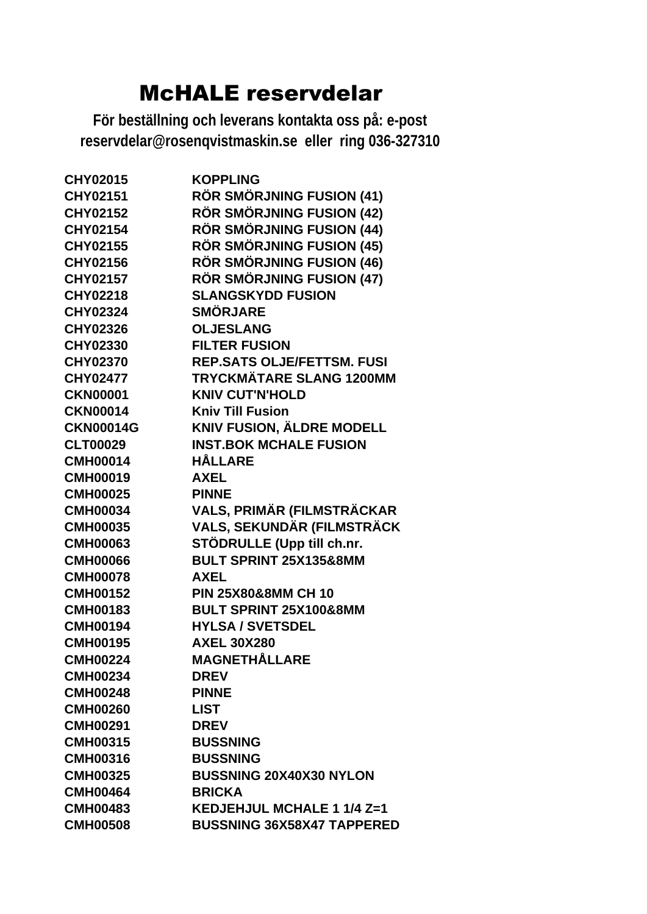| <b>CHY02015</b>  | <b>KOPPLING</b>                   |
|------------------|-----------------------------------|
| <b>CHY02151</b>  | RÖR SMÖRJNING FUSION (41)         |
| <b>CHY02152</b>  | <b>RÖR SMÖRJNING FUSION (42)</b>  |
| CHY02154         | <b>RÖR SMÖRJNING FUSION (44)</b>  |
| <b>CHY02155</b>  | <b>RÖR SMÖRJNING FUSION (45)</b>  |
| <b>CHY02156</b>  | <b>RÖR SMÖRJNING FUSION (46)</b>  |
| <b>CHY02157</b>  | <b>RÖR SMÖRJNING FUSION (47)</b>  |
| <b>CHY02218</b>  | <b>SLANGSKYDD FUSION</b>          |
| <b>CHY02324</b>  | <b>SMÖRJARE</b>                   |
| <b>CHY02326</b>  | <b>OLJESLANG</b>                  |
| <b>CHY02330</b>  | <b>FILTER FUSION</b>              |
| <b>CHY02370</b>  | <b>REP.SATS OLJE/FETTSM. FUSI</b> |
| <b>CHY02477</b>  | <b>TRYCKMÄTARE SLANG 1200MM</b>   |
| <b>CKN00001</b>  | <b>KNIV CUT'N'HOLD</b>            |
| <b>CKN00014</b>  | <b>Kniv Till Fusion</b>           |
| <b>CKN00014G</b> | <b>KNIV FUSION, ÄLDRE MODELL</b>  |
| <b>CLT00029</b>  | <b>INST.BOK MCHALE FUSION</b>     |
| <b>CMH00014</b>  | <b>HÅLLARE</b>                    |
| <b>CMH00019</b>  | <b>AXEL</b>                       |
| <b>CMH00025</b>  | <b>PINNE</b>                      |
| <b>CMH00034</b>  | VALS, PRIMÄR (FILMSTRÄCKAR        |
| <b>CMH00035</b>  | VALS, SEKUNDÄR (FILMSTRÄCK        |
| <b>CMH00063</b>  | STÖDRULLE (Upp till ch.nr.        |
| <b>CMH00066</b>  | BULT SPRINT 25X135&8MM            |
| <b>CMH00078</b>  | <b>AXEL</b>                       |
| <b>CMH00152</b>  | <b>PIN 25X80&amp;8MM CH 10</b>    |
| <b>CMH00183</b>  | BULT SPRINT 25X100&8MM            |
| <b>CMH00194</b>  | <b>HYLSA / SVETSDEL</b>           |
| <b>CMH00195</b>  | <b>AXEL 30X280</b>                |
| <b>CMH00224</b>  | <b>MAGNETHÅLLARE</b>              |
| <b>CMH00234</b>  | <b>DREV</b>                       |
| <b>CMH00248</b>  | <b>PINNE</b>                      |
| <b>CMH00260</b>  | <b>LIST</b>                       |
| <b>CMH00291</b>  | <b>DREV</b>                       |
| <b>CMH00315</b>  | <b>BUSSNING</b>                   |
| <b>CMH00316</b>  | <b>BUSSNING</b>                   |
| <b>CMH00325</b>  | <b>BUSSNING 20X40X30 NYLON</b>    |
| <b>CMH00464</b>  | <b>BRICKA</b>                     |
| <b>CMH00483</b>  | KEDJEHJUL MCHALE 1 1/4 Z=1        |
| <b>CMH00508</b>  | <b>BUSSNING 36X58X47 TAPPERED</b> |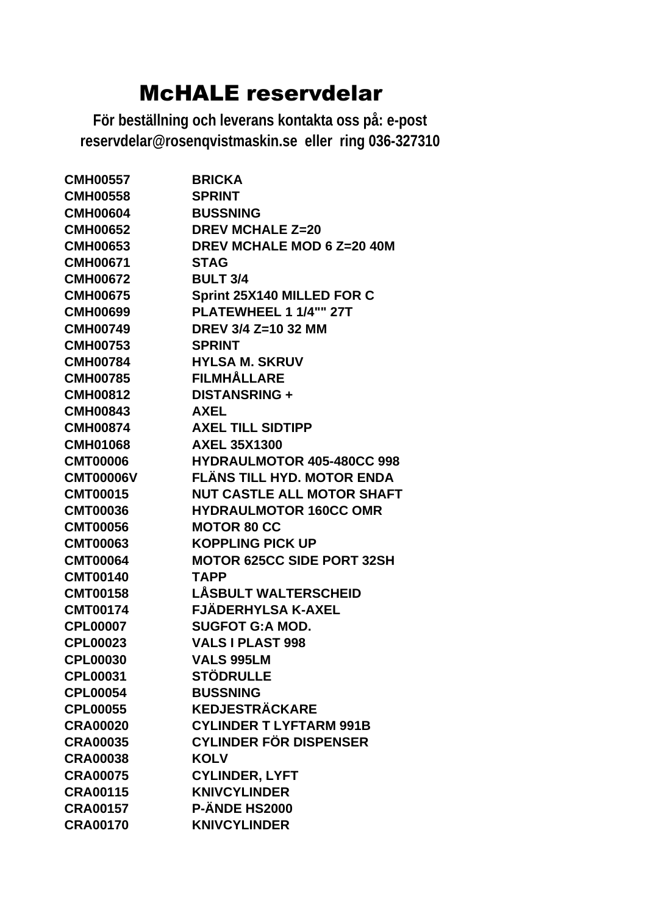| <b>CMH00557</b>  | <b>BRICKA</b>                     |
|------------------|-----------------------------------|
| <b>CMH00558</b>  | <b>SPRINT</b>                     |
| <b>CMH00604</b>  | <b>BUSSNING</b>                   |
| <b>CMH00652</b>  | <b>DREV MCHALE Z=20</b>           |
| <b>CMH00653</b>  | DREV MCHALE MOD 6 Z=20 40M        |
| <b>CMH00671</b>  | <b>STAG</b>                       |
| <b>CMH00672</b>  | <b>BULT 3/4</b>                   |
| <b>CMH00675</b>  | Sprint 25X140 MILLED FOR C        |
| <b>CMH00699</b>  | PLATEWHEEL 1 1/4"" 27T            |
| <b>CMH00749</b>  | DREV 3/4 Z=10 32 MM               |
| <b>CMH00753</b>  | <b>SPRINT</b>                     |
| <b>CMH00784</b>  | <b>HYLSA M. SKRUV</b>             |
| <b>CMH00785</b>  | <b>FILMHÅLLARE</b>                |
| <b>CMH00812</b>  | <b>DISTANSRING +</b>              |
| <b>CMH00843</b>  | <b>AXEL</b>                       |
| <b>CMH00874</b>  | <b>AXEL TILL SIDTIPP</b>          |
| <b>CMH01068</b>  | <b>AXEL 35X1300</b>               |
| <b>CMT00006</b>  | <b>HYDRAULMOTOR 405-480CC 998</b> |
| <b>CMT00006V</b> | FLÄNS TILL HYD. MOTOR ENDA        |
| <b>CMT00015</b>  | <b>NUT CASTLE ALL MOTOR SHAFT</b> |
| <b>CMT00036</b>  | <b>HYDRAULMOTOR 160CC OMR</b>     |
| <b>CMT00056</b>  | <b>MOTOR 80 CC</b>                |
| <b>CMT00063</b>  | <b>KOPPLING PICK UP</b>           |
| <b>CMT00064</b>  | <b>MOTOR 625CC SIDE PORT 32SH</b> |
| <b>CMT00140</b>  | <b>TAPP</b>                       |
| <b>CMT00158</b>  | <b>LÅSBULT WALTERSCHEID</b>       |
| <b>CMT00174</b>  | <b>FJÄDERHYLSA K-AXEL</b>         |
| <b>CPL00007</b>  | <b>SUGFOT G:A MOD.</b>            |
| <b>CPL00023</b>  | <b>VALS I PLAST 998</b>           |
| <b>CPL00030</b>  | <b>VALS 995LM</b>                 |
| <b>CPL00031</b>  | <b>STÖDRULLE</b>                  |
| <b>CPL00054</b>  | <b>BUSSNING</b>                   |
| <b>CPL00055</b>  | <b>KEDJESTRÄCKARE</b>             |
| <b>CRA00020</b>  | <b>CYLINDER T LYFTARM 991B</b>    |
| <b>CRA00035</b>  | <b>CYLINDER FÖR DISPENSER</b>     |
| <b>CRA00038</b>  | <b>KOLV</b>                       |
| <b>CRA00075</b>  | <b>CYLINDER, LYFT</b>             |
| <b>CRA00115</b>  | <b>KNIVCYLINDER</b>               |
| <b>CRA00157</b>  | <b>P-ÄNDE HS2000</b>              |
| <b>CRA00170</b>  | <b>KNIVCYLINDER</b>               |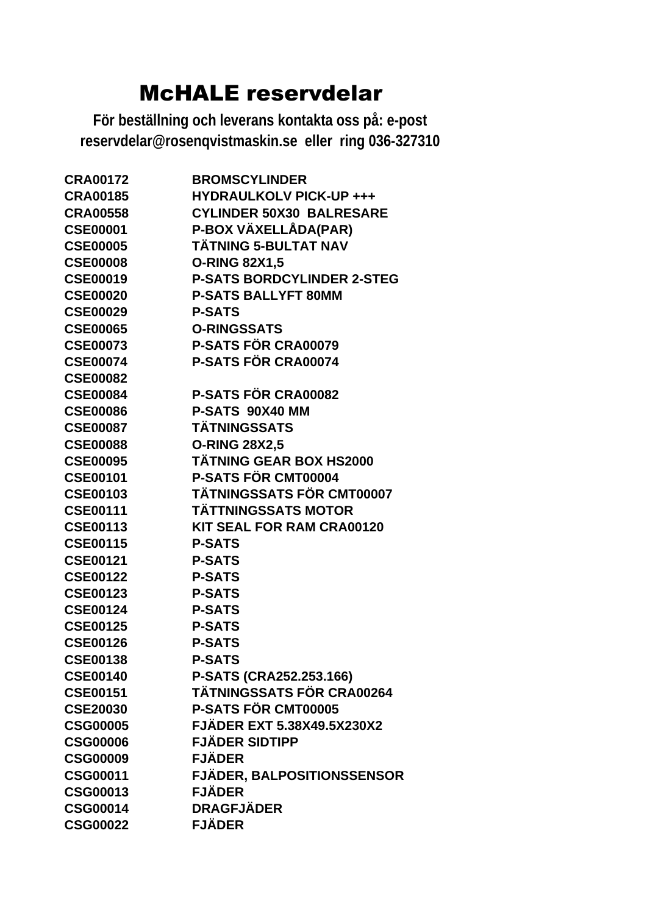| <b>CRA00172</b> | <b>BROMSCYLINDER</b>              |
|-----------------|-----------------------------------|
| <b>CRA00185</b> | <b>HYDRAULKOLV PICK-UP +++</b>    |
| <b>CRA00558</b> | <b>CYLINDER 50X30 BALRESARE</b>   |
| <b>CSE00001</b> | P-BOX VÄXELLÅDA(PAR)              |
| <b>CSE00005</b> | <b>TÄTNING 5-BULTAT NAV</b>       |
| <b>CSE00008</b> | <b>O-RING 82X1,5</b>              |
| <b>CSE00019</b> | <b>P-SATS BORDCYLINDER 2-STEG</b> |
| <b>CSE00020</b> | <b>P-SATS BALLYFT 80MM</b>        |
| <b>CSE00029</b> | <b>P-SATS</b>                     |
| <b>CSE00065</b> | <b>O-RINGSSATS</b>                |
| <b>CSE00073</b> | <b>P-SATS FÖR CRA00079</b>        |
| <b>CSE00074</b> | P-SATS FÖR CRA00074               |
| <b>CSE00082</b> |                                   |
| <b>CSE00084</b> | <b>P-SATS FÖR CRA00082</b>        |
| <b>CSE00086</b> | P-SATS 90X40 MM                   |
| <b>CSE00087</b> | <b>TÄTNINGSSATS</b>               |
| <b>CSE00088</b> | <b>O-RING 28X2,5</b>              |
| <b>CSE00095</b> | <b>TÄTNING GEAR BOX HS2000</b>    |
| <b>CSE00101</b> | P-SATS FÖR CMT00004               |
| <b>CSE00103</b> | <b>TÄTNINGSSATS FÖR CMT00007</b>  |
| <b>CSE00111</b> | <b>TÄTTNINGSSATS MOTOR</b>        |
| <b>CSE00113</b> | <b>KIT SEAL FOR RAM CRA00120</b>  |
| <b>CSE00115</b> | <b>P-SATS</b>                     |
| <b>CSE00121</b> | <b>P-SATS</b>                     |
| <b>CSE00122</b> | <b>P-SATS</b>                     |
| <b>CSE00123</b> | <b>P-SATS</b>                     |
| <b>CSE00124</b> | <b>P-SATS</b>                     |
| <b>CSE00125</b> | <b>P-SATS</b>                     |
| <b>CSE00126</b> | <b>P-SATS</b>                     |
| <b>CSE00138</b> | <b>P-SATS</b>                     |
| <b>CSE00140</b> | P-SATS (CRA252.253.166)           |
| <b>CSE00151</b> | <b>TÄTNINGSSATS FÖR CRA00264</b>  |
| <b>CSE20030</b> | P-SATS FÖR CMT00005               |
| <b>CSG00005</b> | <b>FJÄDER EXT 5.38X49.5X230X2</b> |
| <b>CSG00006</b> | <b>FJÄDER SIDTIPP</b>             |
| <b>CSG00009</b> | <b>FJÄDER</b>                     |
| <b>CSG00011</b> | <b>FJÄDER, BALPOSITIONSSENSOR</b> |
| <b>CSG00013</b> | <b>FJÄDER</b>                     |
| <b>CSG00014</b> | <b>DRAGFJÄDER</b>                 |
| <b>CSG00022</b> | <b>FJÄDER</b>                     |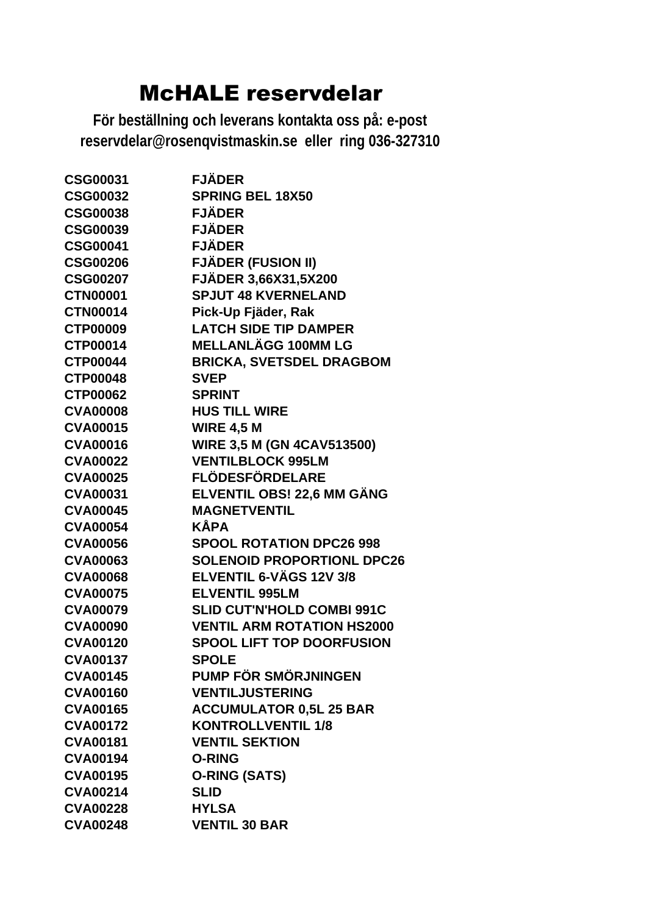| <b>CSG00031</b> | <b>FJÄDER</b>                     |
|-----------------|-----------------------------------|
| <b>CSG00032</b> | <b>SPRING BEL 18X50</b>           |
| <b>CSG00038</b> | <b>FJÄDER</b>                     |
| <b>CSG00039</b> | <b>FJÄDER</b>                     |
| <b>CSG00041</b> | <b>FJÄDER</b>                     |
| <b>CSG00206</b> | <b>FJÄDER (FUSION II)</b>         |
| <b>CSG00207</b> | <b>FJÄDER 3,66X31,5X200</b>       |
| <b>CTN00001</b> | <b>SPJUT 48 KVERNELAND</b>        |
| <b>CTN00014</b> | Pick-Up Fjäder, Rak               |
| <b>CTP00009</b> | <b>LATCH SIDE TIP DAMPER</b>      |
| <b>CTP00014</b> | <b>MELLANLÄGG 100MM LG</b>        |
| <b>CTP00044</b> | <b>BRICKA, SVETSDEL DRAGBOM</b>   |
| <b>CTP00048</b> | <b>SVEP</b>                       |
| <b>CTP00062</b> | <b>SPRINT</b>                     |
| <b>CVA00008</b> | <b>HUS TILL WIRE</b>              |
| <b>CVA00015</b> | <b>WIRE 4,5 M</b>                 |
| <b>CVA00016</b> | <b>WIRE 3,5 M (GN 4CAV513500)</b> |
| <b>CVA00022</b> | <b>VENTILBLOCK 995LM</b>          |
| <b>CVA00025</b> | <b>FLÖDESFÖRDELARE</b>            |
| <b>CVA00031</b> | ELVENTIL OBS! 22,6 MM GÄNG        |
| <b>CVA00045</b> | <b>MAGNETVENTIL</b>               |
| <b>CVA00054</b> | <b>KÅPA</b>                       |
| <b>CVA00056</b> | <b>SPOOL ROTATION DPC26 998</b>   |
| <b>CVA00063</b> | <b>SOLENOID PROPORTIONL DPC26</b> |
| <b>CVA00068</b> | ELVENTIL 6-VÄGS 12V 3/8           |
| <b>CVA00075</b> | <b>ELVENTIL 995LM</b>             |
| <b>CVA00079</b> | <b>SLID CUT'N'HOLD COMBI 991C</b> |
| <b>CVA00090</b> | <b>VENTIL ARM ROTATION HS2000</b> |
| <b>CVA00120</b> | <b>SPOOL LIFT TOP DOORFUSION</b>  |
| <b>CVA00137</b> | SPOI F                            |
| <b>CVA00145</b> | PUMP FÖR SMÖRJNINGEN              |
| <b>CVA00160</b> | <b>VENTILJUSTERING</b>            |
| <b>CVA00165</b> | <b>ACCUMULATOR 0,5L 25 BAR</b>    |
| <b>CVA00172</b> | <b>KONTROLLVENTIL 1/8</b>         |
| <b>CVA00181</b> | <b>VENTIL SEKTION</b>             |
| <b>CVA00194</b> | <b>O-RING</b>                     |
| <b>CVA00195</b> | <b>O-RING (SATS)</b>              |
| <b>CVA00214</b> | <b>SLID</b>                       |
| <b>CVA00228</b> | <b>HYLSA</b>                      |
| <b>CVA00248</b> | <b>VENTIL 30 BAR</b>              |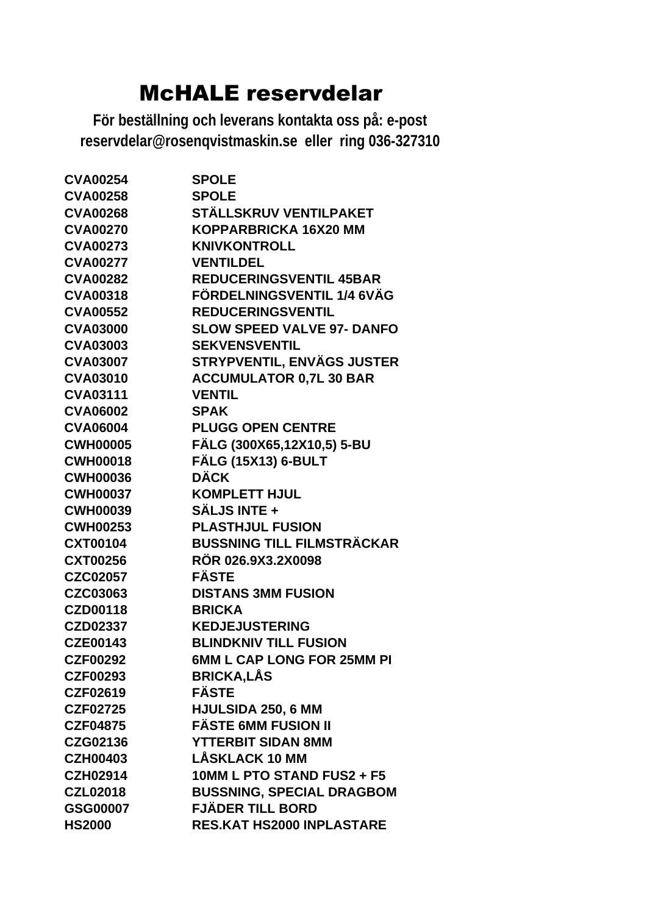| <b>CVA00254</b> | <b>SPOLE</b>                      |
|-----------------|-----------------------------------|
| <b>CVA00258</b> | <b>SPOLE</b>                      |
| <b>CVA00268</b> | STÄLLSKRUV VENTILPAKET            |
| <b>CVA00270</b> | KOPPARBRICKA 16X20 MM             |
| <b>CVA00273</b> | <b>KNIVKONTROLL</b>               |
| <b>CVA00277</b> | <b>VENTILDEL</b>                  |
| <b>CVA00282</b> | <b>REDUCERINGSVENTIL 45BAR</b>    |
| <b>CVA00318</b> | FÖRDELNINGSVENTIL 1/4 6VÄG        |
| <b>CVA00552</b> | <b>REDUCERINGSVENTIL</b>          |
| <b>CVA03000</b> | <b>SLOW SPEED VALVE 97- DANFO</b> |
| <b>CVA03003</b> | <b>SEKVENSVENTIL</b>              |
| <b>CVA03007</b> | <b>STRYPVENTIL, ENVÄGS JUSTER</b> |
| <b>CVA03010</b> | <b>ACCUMULATOR 0,7L 30 BAR</b>    |
| <b>CVA03111</b> | <b>VENTIL</b>                     |
| <b>CVA06002</b> | <b>SPAK</b>                       |
| <b>CVA06004</b> | <b>PLUGG OPEN CENTRE</b>          |
| <b>CWH00005</b> | FÄLG (300X65,12X10,5) 5-BU        |
| <b>CWH00018</b> | <b>FÄLG (15X13) 6-BULT</b>        |
| <b>CWH00036</b> | <b>DÄCK</b>                       |
| <b>CWH00037</b> | <b>KOMPLETT HJUL</b>              |
| <b>CWH00039</b> | <b>SÄLJS INTE +</b>               |
| <b>CWH00253</b> | <b>PLASTHJUL FUSION</b>           |
| <b>CXT00104</b> | <b>BUSSNING TILL FILMSTRÄCKAR</b> |
| <b>CXT00256</b> | RÖR 026.9X3.2X0098                |
| <b>CZC02057</b> | <b>FÄSTE</b>                      |
| CZC03063        | <b>DISTANS 3MM FUSION</b>         |
| <b>CZD00118</b> | <b>BRICKA</b>                     |
| <b>CZD02337</b> | <b>KEDJEJUSTERING</b>             |
| <b>CZE00143</b> | <b>BLINDKNIV TILL FUSION</b>      |
| <b>CZF00292</b> | 6MM L CAP LONG FOR 25MM PI        |
| <b>CZF00293</b> | <b>BRICKA,LÅS</b>                 |
| CZF02619        | <b>FÄSTE</b>                      |
| <b>CZF02725</b> | HJULSIDA 250, 6 MM                |
| <b>CZF04875</b> | <b>FÄSTE 6MM FUSION II</b>        |
| CZG02136        | <b>YTTERBIT SIDAN 8MM</b>         |
| <b>CZH00403</b> | <b>LÅSKLACK 10 MM</b>             |
| <b>CZH02914</b> | 10MM L PTO STAND FUS2 + F5        |
| <b>CZL02018</b> | <b>BUSSNING, SPECIAL DRAGBOM</b>  |
| GSG00007        | <b>FJÄDER TILL BORD</b>           |
| <b>HS2000</b>   | <b>RES.KAT HS2000 INPLASTARE</b>  |